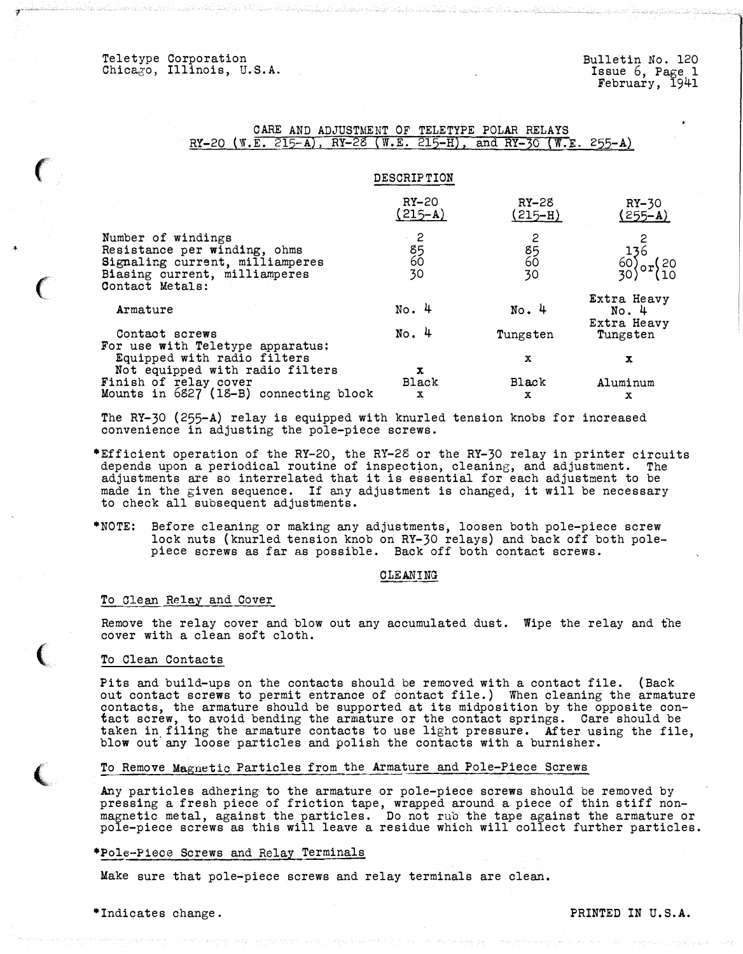Teletype Corporation Chicago, Illinois, U.S.A.

-,···-"·-.

+

# CARE AND ADJUSTMENT OF TELETYPE POLAR RELAYS RY-20 (W.E. 215-A), RY-28 (W.E. 215-H), and RY-30 (W.E. 255-A)

# DESCRIPTION

|                                                                                                                                           | $RY-20$<br>$(215 - A)$                               | RY-28<br>(215–H)                                   | $RY-30$<br>$(255 - A)$                                  |
|-------------------------------------------------------------------------------------------------------------------------------------------|------------------------------------------------------|----------------------------------------------------|---------------------------------------------------------|
| Number of windings<br>Resistance per winding, ohms<br>Signaling current, milliamperes<br>Biasing current, milliamperes<br>Contact Metals: | ∙ 2<br>$\begin{array}{c} 85 \\ 60 \end{array}$<br>30 | 2<br>$\begin{array}{c} 85 \\ 60 \end{array}$<br>30 | $\frac{60}{30}$ or $\begin{cases} 20 \\ 10 \end{cases}$ |
| Armature                                                                                                                                  | $No.$ 4                                              | No.4                                               | Extra Heavy<br>No.4<br>Extra Heavy                      |
| Contact screws<br>For use with Teletype apparatus:                                                                                        | No.4                                                 | Tungsten                                           | Tungsten                                                |
| Equipped with radio filters<br>Not equipped with radio filters                                                                            | x                                                    | x                                                  | x                                                       |
| Finish of relay cover<br>Mounts in 6827 (18-B) connecting block                                                                           | Black<br>x                                           | Black<br>x                                         | Aluminum                                                |
|                                                                                                                                           |                                                      |                                                    | x                                                       |

The RY-30 (255-A) relay is equipped with knurled tension knobs for increased convenience in adjusting the pole-piece screws.

- \*Efficient operation of the RY-20, the RY-28 or the RY-30 relay in printer circuits depends upon a periodical routine of inspection, cleaning, and adjustment. The adjustments are so interrelated that it is essential for each adjustment to be made in the given sequence. If any adjustment is changed, it will be necessary to check all subsequent adjustments.
- \*NOTE: Before cleaning or making any adjustments, loosen both pole-piece screw lock nuts (knurled tension knob on RY-30 relays) and back off both polepiece screws as far as possible. Back off both contact screws.

#### CLEANING

#### To Clean Relay and Cover

Remove the relay cover and blow out any accumulated dust. Wipe the relay and the cover with a clean soft cloth.

### To Clean Contacts

Pits and build-ups on the contacts should be removed with a contact file. (Back out contact screws to permit entrance of contact file.) When cleaning the armature contacts, the armature should be supported at its midposition by the opposite contact screw, to avoid bending the armature or the contact springs. Care should be taken in filing the armature contacts to use light pressure. After using the file, blow out any loose particles and polish the contacts with a burnisher.

### To Remove Magnetic Particles from the Armature and Pole-Piece Screws

Any particles adhering to the armature or pole-piece screws should be removed by pressing a fresh piece of friction tape, wrapped around a piece of thin stiff nonmagnetic metal, against the particles. Do not rub the tape against the armature or pole-piece screws as this will leave a residue which will collect further particles.

### \*Pole-Piece Screws and Relay Terminals

Make sure that pole-piece screws and relay terminals are clean.

# \*Indicates change. The extension of the extension of the extension of the extension of  $\mathbb{R}$ .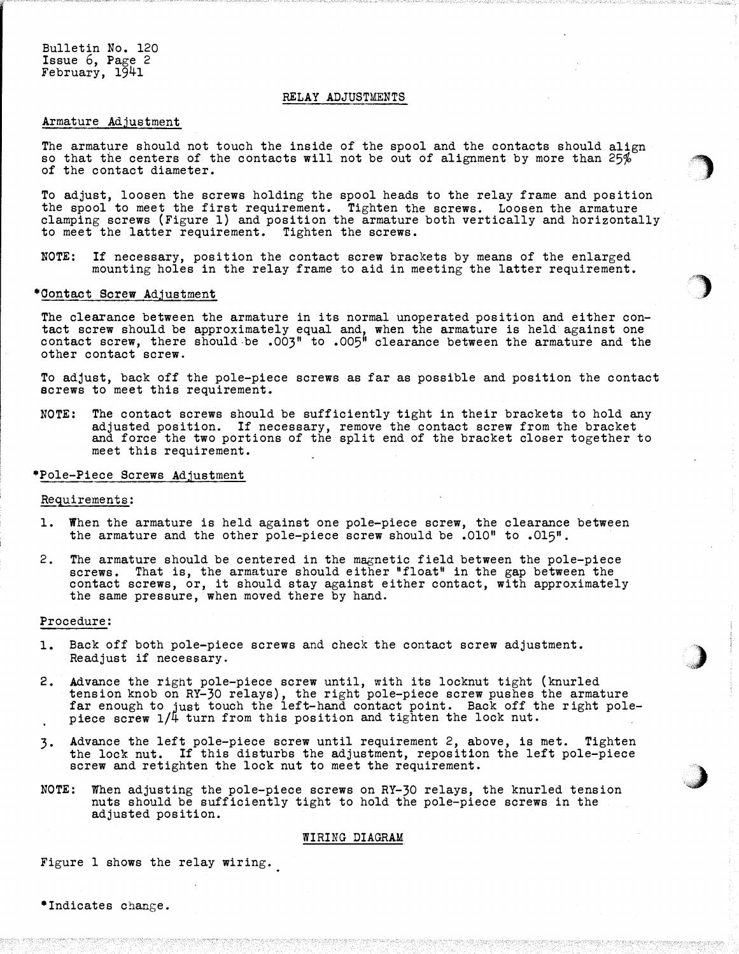Bulletin No. 120 Issue 6, Page 2 February, 1941

## RELAY ADJUSTMENTS

### Armature Adjustment

The armature should not touch the inside of the spool and the contacts should align so that the centers of the contacts will not be out of alignment by more than  $25\%$ of the contact diameter.

..

)

&)

 $\rightarrow$ . �,.,

To adjust, loosen the screws holding the spool heads to the relay frame and position the spool to meet the first requirement. Tighten the screws. Loosen the armature clamping screws (Figure 1) and position the armature both vertically and horizontally to meet the latter requirement. Tighten the screws.

NOTE: If necessary, position the contact screw brackets by means of the enlarged mounting holes in the relay frame to aid in meeting the latter requirement.

### \*Contact Screw Adjustment

The clearance between the armature in its normal unoperated position and either contact screw should be approximately equal and, when the armature is held against one contact screw, there should be .003" to .005" clearance between the armature and the other contact screw.

To adjust, back off the pole-piece screws as far as possible and position the contact screws to meet this requirement.

NOTE: The contact screws should be sufficiently tight in their brackets to hold any adjusted position. If necessary, remove the contact screw from the bracket and force the two portions of the split end of the bracket closer together to meet this requirement.

# \*Pole-Piece Screws Adjustment

### Requirements:

- 1. When the armature is held against one pole-piece screw, the clearance between the armature and the other pole-piece screw should be .010<sup>n</sup> to .015<sup>n</sup>.
- 2. The armature should be centered in the magnetic field between the pole-piece screws. That is, the armature should either "float" in the gap between the contact screws, or, it should stay against either contact, with approximately the same pressure, when moved there by hand.

### Procedure:

- 1. Back off both pole-piece screws and check the contact screw adjustment. Readjust if necessary.
- 2. Advance the right pole-piece screw until, with its locknut tight (knurled tension knob on RY-30 relays) , the right pole-piece screw pushes the armature far enough to just touch the left-hand contact point. Back off the right pole-<br>piece screw 1/4 turn from this position and tighten the lock nut.
- 3· Advance the left pole-piece screw until requirement 2, above, is met. Tighten the lock nut. If this disturbs the adjustment, reposition the left pole-piece screw and retighten the lock nut to meet the requirement.
- NOTE: When adjusting the pole-piece screws on RY-30 relays, the knurled tension nuts should be sufficiently tight to hold the pole-piece screws in the adjusted position.

#### WIRING DIAGRAM

Figure 1 shows the relay wiring.

\*Indicates change.